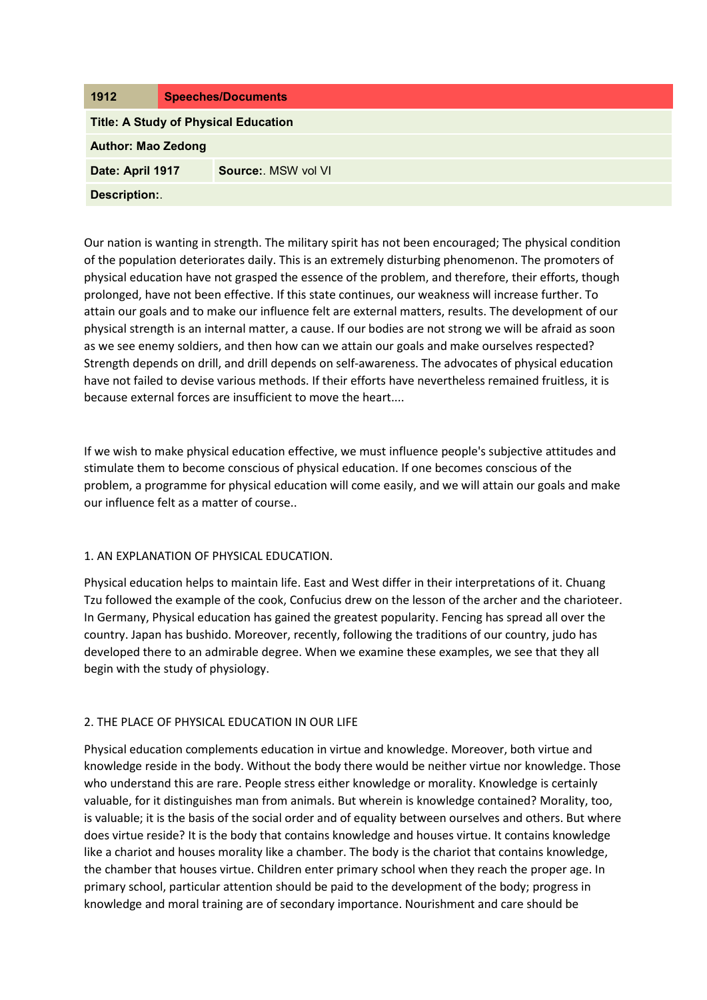| 1912                                        | <b>Speeches/Documents</b> |
|---------------------------------------------|---------------------------|
| <b>Title: A Study of Physical Education</b> |                           |
| <b>Author: Mao Zedong</b>                   |                           |
| Date: April 1917                            | <b>Source:</b> MSW vol VI |
| <b>Description:.</b>                        |                           |

Our nation is wanting in strength. The military spirit has not been encouraged; The physical condition of the population deteriorates daily. This is an extremely disturbing phenomenon. The promoters of physical education have not grasped the essence of the problem, and therefore, their efforts, though prolonged, have not been effective. If this state continues, our weakness will increase further. To attain our goals and to make our influence felt are external matters, results. The development of our physical strength is an internal matter, a cause. If our bodies are not strong we will be afraid as soon as we see enemy soldiers, and then how can we attain our goals and make ourselves respected? Strength depends on drill, and drill depends on self-awareness. The advocates of physical education have not failed to devise various methods. If their efforts have nevertheless remained fruitless, it is because external forces are insufficient to move the heart....

If we wish to make physical education effective, we must influence people's subjective attitudes and stimulate them to become conscious of physical education. If one becomes conscious of the problem, a programme for physical education will come easily, and we will attain our goals and make our influence felt as a matter of course..

### 1. AN EXPLANATION OF PHYSICAL EDUCATION.

Physical education helps to maintain life. East and West differ in their interpretations of it. Chuang Tzu followed the example of the cook, Confucius drew on the lesson of the archer and the charioteer. In Germany, Physical education has gained the greatest popularity. Fencing has spread all over the country. Japan has bushido. Moreover, recently, following the traditions of our country, judo has developed there to an admirable degree. When we examine these examples, we see that they all begin with the study of physiology.

# 2. THE PLACE OF PHYSICAL EDUCATION IN OUR LIFE

Physical education complements education in virtue and knowledge. Moreover, both virtue and knowledge reside in the body. Without the body there would be neither virtue nor knowledge. Those who understand this are rare. People stress either knowledge or morality. Knowledge is certainly valuable, for it distinguishes man from animals. But wherein is knowledge contained? Morality, too, is valuable; it is the basis of the social order and of equality between ourselves and others. But where does virtue reside? It is the body that contains knowledge and houses virtue. It contains knowledge like a chariot and houses morality like a chamber. The body is the chariot that contains knowledge, the chamber that houses virtue. Children enter primary school when they reach the proper age. In primary school, particular attention should be paid to the development of the body; progress in knowledge and moral training are of secondary importance. Nourishment and care should be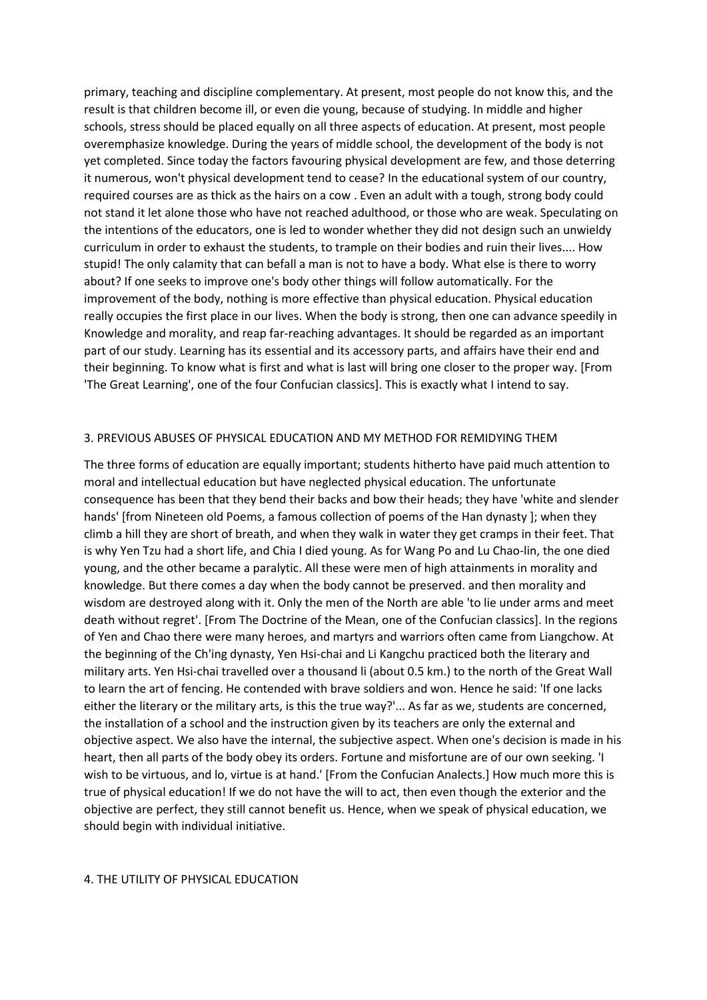primary, teaching and discipline complementary. At present, most people do not know this, and the result is that children become ill, or even die young, because of studying. In middle and higher schools, stress should be placed equally on all three aspects of education. At present, most people overemphasize knowledge. During the years of middle school, the development of the body is not yet completed. Since today the factors favouring physical development are few, and those deterring it numerous, won't physical development tend to cease? In the educational system of our country, required courses are as thick as the hairs on a cow . Even an adult with a tough, strong body could not stand it let alone those who have not reached adulthood, or those who are weak. Speculating on the intentions of the educators, one is led to wonder whether they did not design such an unwieldy curriculum in order to exhaust the students, to trample on their bodies and ruin their lives.... How stupid! The only calamity that can befall a man is not to have a body. What else is there to worry about? If one seeks to improve one's body other things will follow automatically. For the improvement of the body, nothing is more effective than physical education. Physical education really occupies the first place in our lives. When the body is strong, then one can advance speedily in Knowledge and morality, and reap far-reaching advantages. It should be regarded as an important part of our study. Learning has its essential and its accessory parts, and affairs have their end and their beginning. To know what is first and what is last will bring one closer to the proper way. [From 'The Great Learning', one of the four Confucian classics]. This is exactly what I intend to say.

### 3. PREVIOUS ABUSES OF PHYSICAL EDUCATION AND MY METHOD FOR REMIDYING THEM

The three forms of education are equally important; students hitherto have paid much attention to moral and intellectual education but have neglected physical education. The unfortunate consequence has been that they bend their backs and bow their heads; they have 'white and slender hands' [from Nineteen old Poems, a famous collection of poems of the Han dynasty ]; when they climb a hill they are short of breath, and when they walk in water they get cramps in their feet. That is why Yen Tzu had a short life, and Chia I died young. As for Wang Po and Lu Chao-lin, the one died young, and the other became a paralytic. All these were men of high attainments in morality and knowledge. But there comes a day when the body cannot be preserved. and then morality and wisdom are destroyed along with it. Only the men of the North are able 'to lie under arms and meet death without regret'. [From The Doctrine of the Mean, one of the Confucian classics]. In the regions of Yen and Chao there were many heroes, and martyrs and warriors often came from Liangchow. At the beginning of the Ch'ing dynasty, Yen Hsi-chai and Li Kangchu practiced both the literary and military arts. Yen Hsi-chai travelled over a thousand li (about 0.5 km.) to the north of the Great Wall to learn the art of fencing. He contended with brave soldiers and won. Hence he said: 'If one lacks either the literary or the military arts, is this the true way?'... As far as we, students are concerned, the installation of a school and the instruction given by its teachers are only the external and objective aspect. We also have the internal, the subjective aspect. When one's decision is made in his heart, then all parts of the body obey its orders. Fortune and misfortune are of our own seeking. 'I wish to be virtuous, and lo, virtue is at hand.' [From the Confucian Analects.] How much more this is true of physical education! If we do not have the will to act, then even though the exterior and the objective are perfect, they still cannot benefit us. Hence, when we speak of physical education, we should begin with individual initiative.

#### 4. THE UTILITY OF PHYSICAL EDUCATION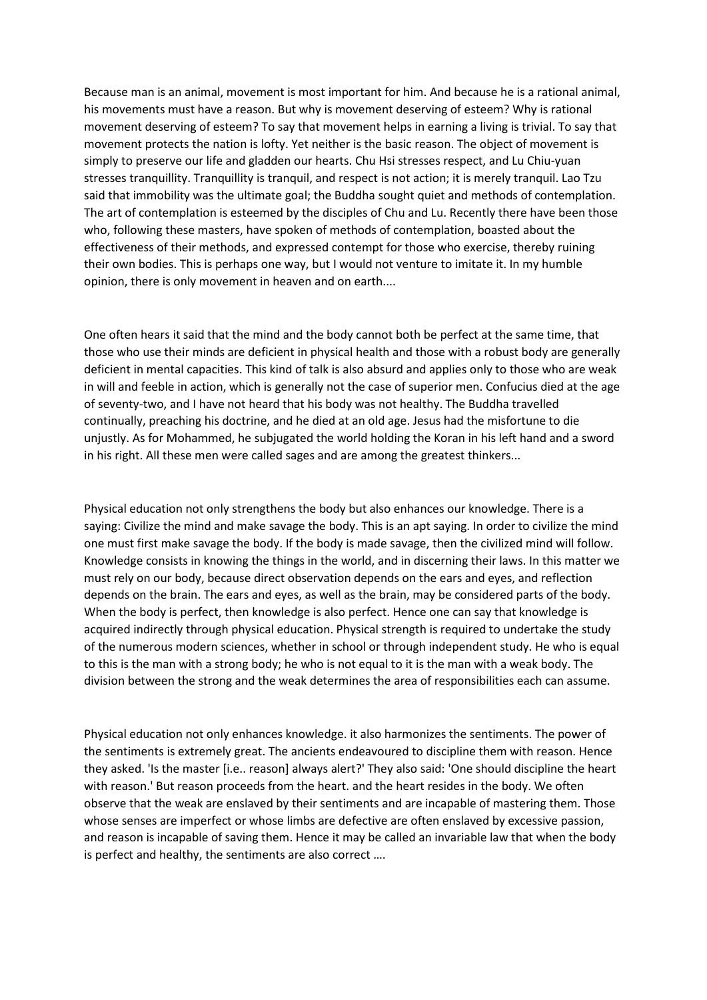Because man is an animal, movement is most important for him. And because he is a rational animal, his movements must have a reason. But why is movement deserving of esteem? Why is rational movement deserving of esteem? To say that movement helps in earning a living is trivial. To say that movement protects the nation is lofty. Yet neither is the basic reason. The object of movement is simply to preserve our life and gladden our hearts. Chu Hsi stresses respect, and Lu Chiu-yuan stresses tranquillity. Tranquillity is tranquil, and respect is not action; it is merely tranquil. Lao Tzu said that immobility was the ultimate goal; the Buddha sought quiet and methods of contemplation. The art of contemplation is esteemed by the disciples of Chu and Lu. Recently there have been those who, following these masters, have spoken of methods of contemplation, boasted about the effectiveness of their methods, and expressed contempt for those who exercise, thereby ruining their own bodies. This is perhaps one way, but I would not venture to imitate it. In my humble opinion, there is only movement in heaven and on earth....

One often hears it said that the mind and the body cannot both be perfect at the same time, that those who use their minds are deficient in physical health and those with a robust body are generally deficient in mental capacities. This kind of talk is also absurd and applies only to those who are weak in will and feeble in action, which is generally not the case of superior men. Confucius died at the age of seventy-two, and I have not heard that his body was not healthy. The Buddha travelled continually, preaching his doctrine, and he died at an old age. Jesus had the misfortune to die unjustly. As for Mohammed, he subjugated the world holding the Koran in his left hand and a sword in his right. All these men were called sages and are among the greatest thinkers...

Physical education not only strengthens the body but also enhances our knowledge. There is a saying: Civilize the mind and make savage the body. This is an apt saying. In order to civilize the mind one must first make savage the body. If the body is made savage, then the civilized mind will follow. Knowledge consists in knowing the things in the world, and in discerning their laws. In this matter we must rely on our body, because direct observation depends on the ears and eyes, and reflection depends on the brain. The ears and eyes, as well as the brain, may be considered parts of the body. When the body is perfect, then knowledge is also perfect. Hence one can say that knowledge is acquired indirectly through physical education. Physical strength is required to undertake the study of the numerous modern sciences, whether in school or through independent study. He who is equal to this is the man with a strong body; he who is not equal to it is the man with a weak body. The division between the strong and the weak determines the area of responsibilities each can assume.

Physical education not only enhances knowledge. it also harmonizes the sentiments. The power of the sentiments is extremely great. The ancients endeavoured to discipline them with reason. Hence they asked. 'Is the master [i.e.. reason] always alert?' They also said: 'One should discipline the heart with reason.' But reason proceeds from the heart. and the heart resides in the body. We often observe that the weak are enslaved by their sentiments and are incapable of mastering them. Those whose senses are imperfect or whose limbs are defective are often enslaved by excessive passion, and reason is incapable of saving them. Hence it may be called an invariable law that when the body is perfect and healthy, the sentiments are also correct ….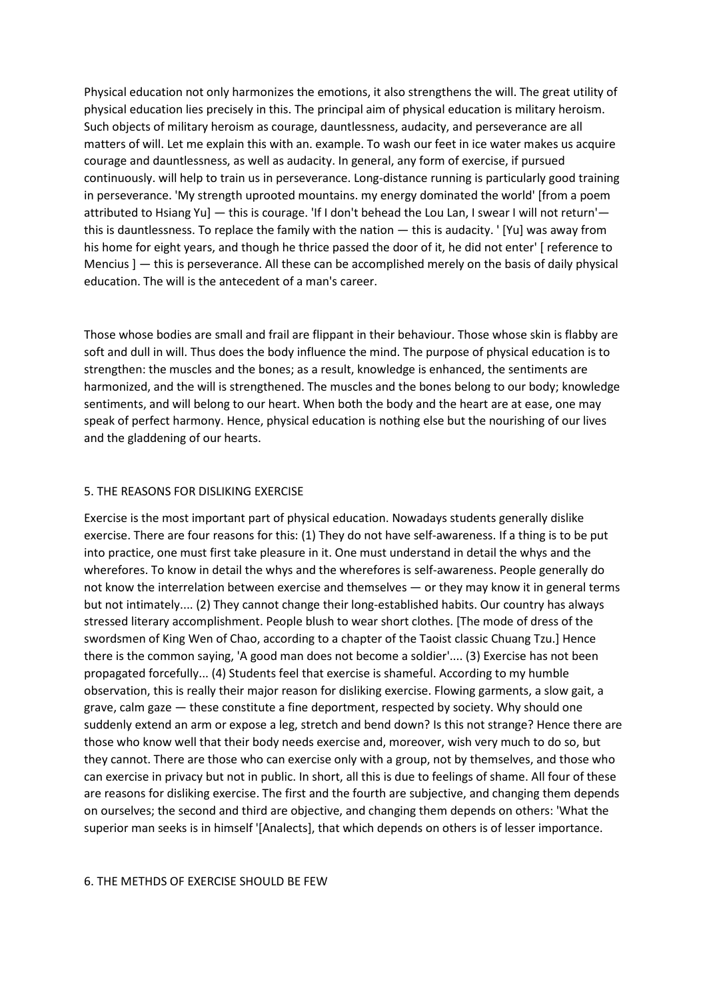Physical education not only harmonizes the emotions, it also strengthens the will. The great utility of physical education lies precisely in this. The principal aim of physical education is military heroism. Such objects of military heroism as courage, dauntlessness, audacity, and perseverance are all matters of will. Let me explain this with an. example. To wash our feet in ice water makes us acquire courage and dauntlessness, as well as audacity. In general, any form of exercise, if pursued continuously. will help to train us in perseverance. Long-distance running is particularly good training in perseverance. 'My strength uprooted mountains. my energy dominated the world' [from a poem attributed to Hsiang Yu] — this is courage. 'If I don't behead the Lou Lan, I swear I will not return' this is dauntlessness. To replace the family with the nation — this is audacity. ' [Yu] was away from his home for eight years, and though he thrice passed the door of it, he did not enter' [ reference to Mencius ] — this is perseverance. All these can be accomplished merely on the basis of daily physical education. The will is the antecedent of a man's career.

Those whose bodies are small and frail are flippant in their behaviour. Those whose skin is flabby are soft and dull in will. Thus does the body influence the mind. The purpose of physical education is to strengthen: the muscles and the bones; as a result, knowledge is enhanced, the sentiments are harmonized, and the will is strengthened. The muscles and the bones belong to our body; knowledge sentiments, and will belong to our heart. When both the body and the heart are at ease, one may speak of perfect harmony. Hence, physical education is nothing else but the nourishing of our lives and the gladdening of our hearts.

#### 5. THE REASONS FOR DISLIKING EXERCISE

Exercise is the most important part of physical education. Nowadays students generally dislike exercise. There are four reasons for this: (1) They do not have self-awareness. If a thing is to be put into practice, one must first take pleasure in it. One must understand in detail the whys and the wherefores. To know in detail the whys and the wherefores is self-awareness. People generally do not know the interrelation between exercise and themselves — or they may know it in general terms but not intimately.... (2) They cannot change their long-established habits. Our country has always stressed literary accomplishment. People blush to wear short clothes. [The mode of dress of the swordsmen of King Wen of Chao, according to a chapter of the Taoist classic Chuang Tzu.] Hence there is the common saying, 'A good man does not become a soldier'.... (3) Exercise has not been propagated forcefully... (4) Students feel that exercise is shameful. According to my humble observation, this is really their major reason for disliking exercise. Flowing garments, a slow gait, a grave, calm gaze — these constitute a fine deportment, respected by society. Why should one suddenly extend an arm or expose a leg, stretch and bend down? Is this not strange? Hence there are those who know well that their body needs exercise and, moreover, wish very much to do so, but they cannot. There are those who can exercise only with a group, not by themselves, and those who can exercise in privacy but not in public. In short, all this is due to feelings of shame. All four of these are reasons for disliking exercise. The first and the fourth are subjective, and changing them depends on ourselves; the second and third are objective, and changing them depends on others: 'What the superior man seeks is in himself '[Analects], that which depends on others is of lesser importance.

#### 6. THE METHDS OF EXERCISE SHOULD BE FEW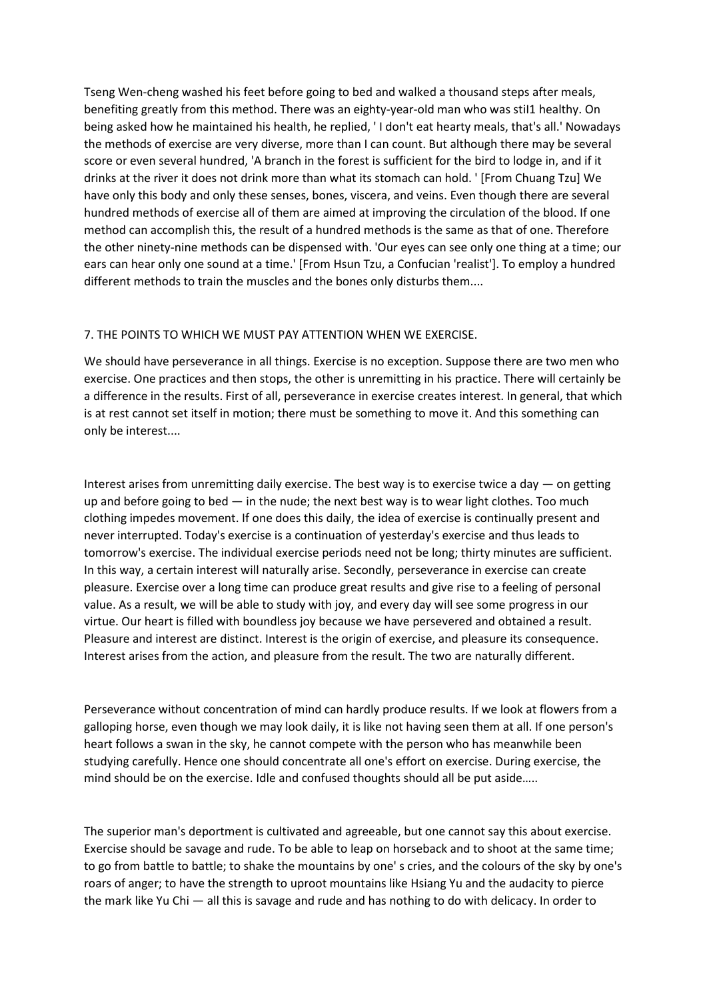Tseng Wen-cheng washed his feet before going to bed and walked a thousand steps after meals, benefiting greatly from this method. There was an eighty-year-old man who was stiI1 healthy. On being asked how he maintained his health, he replied, ' I don't eat hearty meals, that's all.' Nowadays the methods of exercise are very diverse, more than I can count. But although there may be several score or even several hundred, 'A branch in the forest is sufficient for the bird to lodge in, and if it drinks at the river it does not drink more than what its stomach can hold. ' [From Chuang Tzu] We have only this body and only these senses, bones, viscera, and veins. Even though there are several hundred methods of exercise all of them are aimed at improving the circulation of the blood. If one method can accomplish this, the result of a hundred methods is the same as that of one. Therefore the other ninety-nine methods can be dispensed with. 'Our eyes can see only one thing at a time; our ears can hear only one sound at a time.' [From Hsun Tzu, a Confucian 'realist']. To employ a hundred different methods to train the muscles and the bones only disturbs them....

## 7. THE POINTS TO WHICH WE MUST PAY ATTENTION WHEN WE EXERCISE.

We should have perseverance in all things. Exercise is no exception. Suppose there are two men who exercise. One practices and then stops, the other is unremitting in his practice. There will certainly be a difference in the results. First of all, perseverance in exercise creates interest. In general, that which is at rest cannot set itself in motion; there must be something to move it. And this something can only be interest....

Interest arises from unremitting daily exercise. The best way is to exercise twice a day  $-$  on getting up and before going to bed  $-$  in the nude; the next best way is to wear light clothes. Too much clothing impedes movement. If one does this daily, the idea of exercise is continually present and never interrupted. Today's exercise is a continuation of yesterday's exercise and thus leads to tomorrow's exercise. The individual exercise periods need not be long; thirty minutes are sufficient. In this way, a certain interest will naturally arise. Secondly, perseverance in exercise can create pleasure. Exercise over a long time can produce great results and give rise to a feeling of personal value. As a result, we will be able to study with joy, and every day will see some progress in our virtue. Our heart is filled with boundless joy because we have persevered and obtained a result. Pleasure and interest are distinct. Interest is the origin of exercise, and pleasure its consequence. Interest arises from the action, and pleasure from the result. The two are naturally different.

Perseverance without concentration of mind can hardly produce results. If we look at flowers from a galloping horse, even though we may look daily, it is like not having seen them at all. If one person's heart follows a swan in the sky, he cannot compete with the person who has meanwhile been studying carefully. Hence one should concentrate all one's effort on exercise. During exercise, the mind should be on the exercise. Idle and confused thoughts should all be put aside…..

The superior man's deportment is cultivated and agreeable, but one cannot say this about exercise. Exercise should be savage and rude. To be able to leap on horseback and to shoot at the same time; to go from battle to battle; to shake the mountains by one' s cries, and the colours of the sky by one's roars of anger; to have the strength to uproot mountains like Hsiang Yu and the audacity to pierce the mark like Yu Chi — all this is savage and rude and has nothing to do with delicacy. In order to